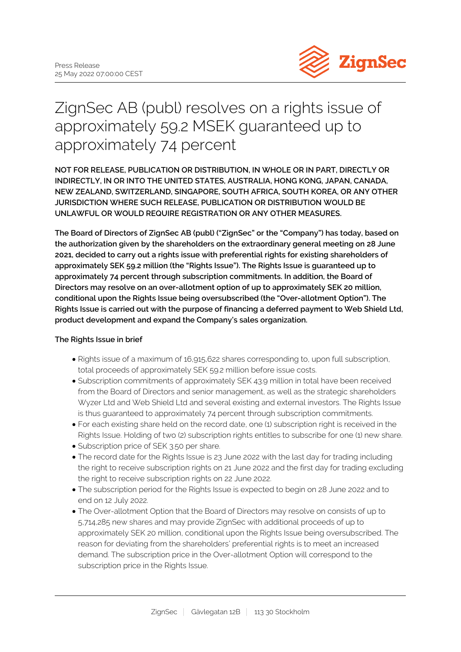

# ZignSec AB (publ) resolves on a rights issue of approximately 59.2 MSEK guaranteed up to approximately 74 percent

**NOT FOR RELEASE, PUBLICATION OR DISTRIBUTION, IN WHOLE OR IN PART, DIRECTLY OR INDIRECTLY, IN OR INTO THE UNITED STATES, AUSTRALIA, HONG KONG, JAPAN, CANADA, NEW ZEALAND, SWITZERLAND, SINGAPORE, SOUTH AFRICA, SOUTH KOREA, OR ANY OTHER JURISDICTION WHERE SUCH RELEASE, PUBLICATION OR DISTRIBUTION WOULD BE UNLAWFUL OR WOULD REQUIRE REGISTRATION OR ANY OTHER MEASURES.**

**The Board of Directors of ZignSec AB (publ) ("ZignSec" or the "Company") has today, based on the authorization given by the shareholders on the extraordinary general meeting on 28 June 2021, decided to carry out a rights issue with preferential rights for existing shareholders of approximately SEK 59.2 million (the "Rights Issue"). The Rights Issue is guaranteed up to approximately 74 percent through subscription commitments. In addition, the Board of Directors may resolve on an over-allotment option of up to approximately SEK 20 million, conditional upon the Rights Issue being oversubscribed (the "Over-allotment Option"). The Rights Issue is carried out with the purpose of financing a deferred payment to Web Shield Ltd, product development and expand the Company's sales organization.**

## **The Rights Issue in brief**

- Rights issue of a maximum of 16,915,622 shares corresponding to, upon full subscription, total proceeds of approximately SEK 59.2 million before issue costs.
- Subscription commitments of approximately SEK 43.9 million in total have been received from the Board of Directors and senior management, as well as the strategic shareholders Wyzer Ltd and Web Shield Ltd and several existing and external investors. The Rights Issue is thus guaranteed to approximately 74 percent through subscription commitments.
- For each existing share held on the record date, one (1) subscription right is received in the Rights Issue. Holding of two (2) subscription rights entitles to subscribe for one (1) new share.
- Subscription price of SEK 3.50 per share.
- The record date for the Rights Issue is 23 June 2022 with the last day for trading including the right to receive subscription rights on 21 June 2022 and the first day for trading excluding the right to receive subscription rights on 22 June 2022.
- The subscription period for the Rights Issue is expected to begin on 28 June 2022 and to end on 12 July 2022.
- The Over-allotment Option that the Board of Directors may resolve on consists of up to 5,714,285 new shares and may provide ZignSec with additional proceeds of up to approximately SEK 20 million, conditional upon the Rights Issue being oversubscribed. The reason for deviating from the shareholders' preferential rights is to meet an increased demand. The subscription price in the Over-allotment Option will correspond to the subscription price in the Rights Issue.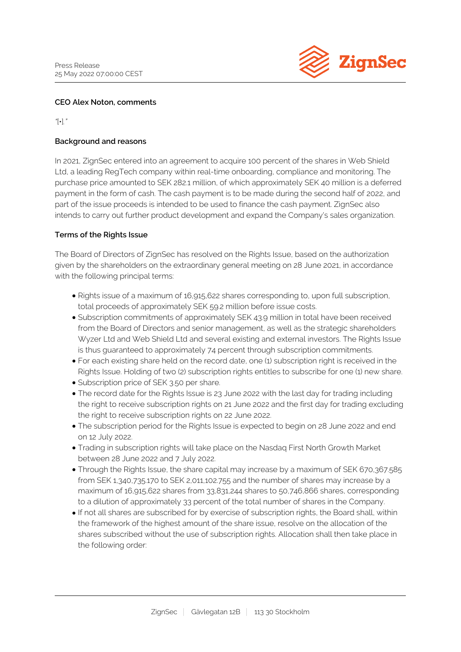

#### **CEO Alex Noton, comments**

*"*[•]*."*

## **Background and reasons**

In 2021, ZignSec entered into an agreement to acquire 100 percent of the shares in Web Shield Ltd, a leading RegTech company within real-time onboarding, compliance and monitoring. The purchase price amounted to SEK 282.1 million, of which approximately SEK 40 million is a deferred payment in the form of cash. The cash payment is to be made during the second half of 2022, and part of the issue proceeds is intended to be used to finance the cash payment. ZignSec also intends to carry out further product development and expand the Company's sales organization.

#### **Terms of the Rights Issue**

The Board of Directors of ZignSec has resolved on the Rights Issue, based on the authorization given by the shareholders on the extraordinary general meeting on 28 June 2021, in accordance with the following principal terms:

- Rights issue of a maximum of 16,915,622 shares corresponding to, upon full subscription, total proceeds of approximately SEK 59.2 million before issue costs.
- Subscription commitments of approximately SEK 43.9 million in total have been received from the Board of Directors and senior management, as well as the strategic shareholders Wyzer Ltd and Web Shield Ltd and several existing and external investors. The Rights Issue is thus guaranteed to approximately 74 percent through subscription commitments.
- For each existing share held on the record date, one (1) subscription right is received in the Rights Issue. Holding of two (2) subscription rights entitles to subscribe for one (1) new share.
- Subscription price of SEK 3.50 per share.
- The record date for the Rights Issue is 23 June 2022 with the last day for trading including the right to receive subscription rights on 21 June 2022 and the first day for trading excluding the right to receive subscription rights on 22 June 2022.
- The subscription period for the Rights Issue is expected to begin on 28 June 2022 and end on 12 July 2022.
- Trading in subscription rights will take place on the Nasdaq First North Growth Market between 28 June 2022 and 7 July 2022.
- Through the Rights Issue, the share capital may increase by a maximum of SEK 670,367.585 from SEK 1,340,735.170 to SEK 2,011,102.755 and the number of shares may increase by a maximum of 16,915,622 shares from 33,831,244 shares to 50,746,866 shares, corresponding to a dilution of approximately 33 percent of the total number of shares in the Company.
- If not all shares are subscribed for by exercise of subscription rights, the Board shall, within the framework of the highest amount of the share issue, resolve on the allocation of the shares subscribed without the use of subscription rights. Allocation shall then take place in the following order: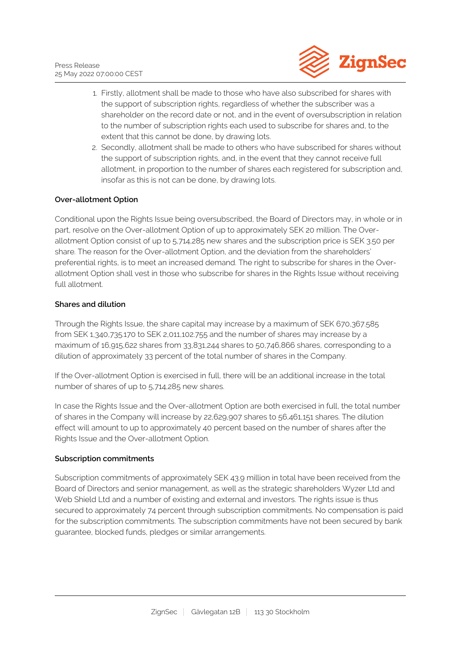

- 1. Firstly, allotment shall be made to those who have also subscribed for shares with the support of subscription rights, regardless of whether the subscriber was a shareholder on the record date or not, and in the event of oversubscription in relation to the number of subscription rights each used to subscribe for shares and, to the extent that this cannot be done, by drawing lots.
- 2. Secondly, allotment shall be made to others who have subscribed for shares without the support of subscription rights, and, in the event that they cannot receive full allotment, in proportion to the number of shares each registered for subscription and, insofar as this is not can be done, by drawing lots.

## **Over-allotment Option**

Conditional upon the Rights Issue being oversubscribed, the Board of Directors may, in whole or in part, resolve on the Over-allotment Option of up to approximately SEK 20 million. The Overallotment Option consist of up to 5,714,285 new shares and the subscription price is SEK 3.50 per share. The reason for the Over-allotment Option, and the deviation from the shareholders' preferential rights, is to meet an increased demand. The right to subscribe for shares in the Overallotment Option shall vest in those who subscribe for shares in the Rights Issue without receiving full allotment.

## **Shares and dilution**

Through the Rights Issue, the share capital may increase by a maximum of SEK 670,367.585 from SEK 1,340,735.170 to SEK 2,011,102.755 and the number of shares may increase by a maximum of 16,915,622 shares from 33,831,244 shares to 50,746,866 shares, corresponding to a dilution of approximately 33 percent of the total number of shares in the Company.

If the Over-allotment Option is exercised in full, there will be an additional increase in the total number of shares of up to 5,714,285 new shares.

In case the Rights Issue and the Over-allotment Option are both exercised in full, the total number of shares in the Company will increase by 22,629,907 shares to 56,461,151 shares. The dilution effect will amount to up to approximately 40 percent based on the number of shares after the Rights Issue and the Over-allotment Option.

#### **Subscription commitments**

Subscription commitments of approximately SEK 43.9 million in total have been received from the Board of Directors and senior management, as well as the strategic shareholders Wyzer Ltd and Web Shield Ltd and a number of existing and external and investors. The rights issue is thus secured to approximately 74 percent through subscription commitments. No compensation is paid for the subscription commitments. The subscription commitments have not been secured by bank guarantee, blocked funds, pledges or similar arrangements.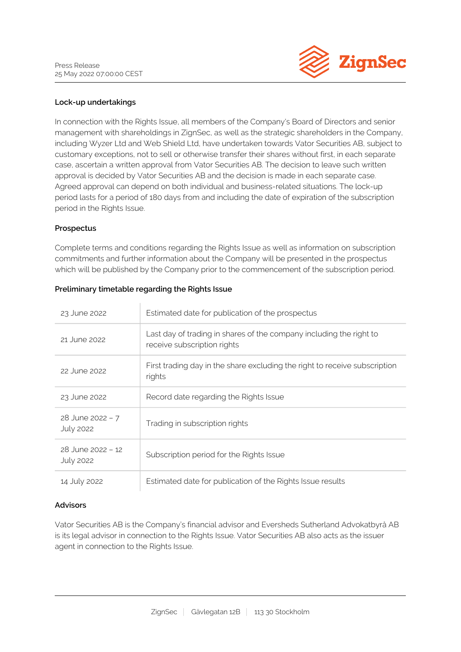

## **Lock-up undertakings**

In connection with the Rights Issue, all members of the Company's Board of Directors and senior management with shareholdings in ZignSec, as well as the strategic shareholders in the Company, including Wyzer Ltd and Web Shield Ltd, have undertaken towards Vator Securities AB, subject to customary exceptions, not to sell or otherwise transfer their shares without first, in each separate case, ascertain a written approval from Vator Securities AB. The decision to leave such written approval is decided by Vator Securities AB and the decision is made in each separate case. Agreed approval can depend on both individual and business-related situations. The lock-up period lasts for a period of 180 days from and including the date of expiration of the subscription period in the Rights Issue.

#### **Prospectus**

Complete terms and conditions regarding the Rights Issue as well as information on subscription commitments and further information about the Company will be presented in the prospectus which will be published by the Company prior to the commencement of the subscription period.

| 23 June 2022                           | Estimated date for publication of the prospectus                                                   |
|----------------------------------------|----------------------------------------------------------------------------------------------------|
| 21 June 2022                           | Last day of trading in shares of the company including the right to<br>receive subscription rights |
| 22 June 2022                           | First trading day in the share excluding the right to receive subscription<br>rights               |
| 23 June 2022                           | Record date regarding the Rights Issue                                                             |
| $28$ June 2022 - 7<br><b>July 2022</b> | Trading in subscription rights                                                                     |
| 28 June 2022 - 12<br><b>July 2022</b>  | Subscription period for the Rights Issue                                                           |
| 14 July 2022                           | Estimated date for publication of the Rights Issue results                                         |

#### **Preliminary timetable regarding the Rights Issue**

#### **Advisors**

Vator Securities AB is the Company's financial advisor and Eversheds Sutherland Advokatbyrå AB is its legal advisor in connection to the Rights Issue. Vator Securities AB also acts as the issuer agent in connection to the Rights Issue.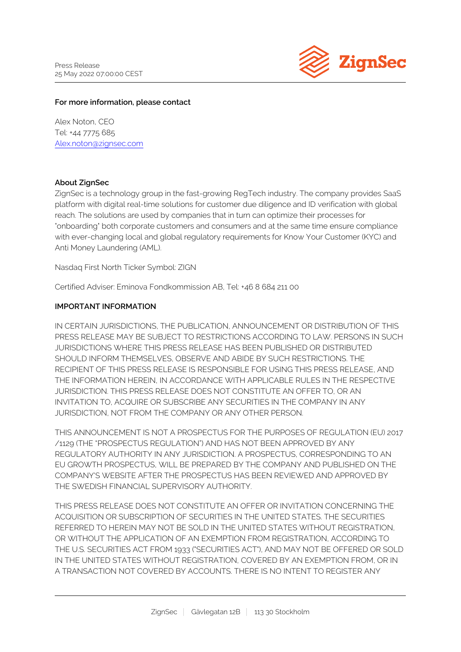

## **For more information, please contact**

Alex Noton, CEO Tel: +44 7775 685 [Alex.noton@zignsec.com](mailto:Alex.noton@zignsec.com)

## **About ZignSec**

ZignSec is a technology group in the fast-growing RegTech industry. The company provides SaaS platform with digital real-time solutions for customer due diligence and ID verification with global reach. The solutions are used by companies that in turn can optimize their processes for "onboarding" both corporate customers and consumers and at the same time ensure compliance with ever-changing local and global regulatory requirements for Know Your Customer (KYC) and Anti Money Laundering (AML).

Nasdaq First North Ticker Symbol: ZIGN

Certified Adviser: Eminova Fondkommission AB, Tel: +46 8 684 211 00

## **IMPORTANT INFORMATION**

IN CERTAIN JURISDICTIONS, THE PUBLICATION, ANNOUNCEMENT OR DISTRIBUTION OF THIS PRESS RELEASE MAY BE SUBJECT TO RESTRICTIONS ACCORDING TO LAW. PERSONS IN SUCH JURISDICTIONS WHERE THIS PRESS RELEASE HAS BEEN PUBLISHED OR DISTRIBUTED SHOULD INFORM THEMSELVES, OBSERVE AND ABIDE BY SUCH RESTRICTIONS. THE RECIPIENT OF THIS PRESS RELEASE IS RESPONSIBLE FOR USING THIS PRESS RELEASE, AND THE INFORMATION HEREIN, IN ACCORDANCE WITH APPLICABLE RULES IN THE RESPECTIVE JURISDICTION. THIS PRESS RELEASE DOES NOT CONSTITUTE AN OFFER TO, OR AN INVITATION TO, ACQUIRE OR SUBSCRIBE ANY SECURITIES IN THE COMPANY IN ANY JURISDICTION, NOT FROM THE COMPANY OR ANY OTHER PERSON.

THIS ANNOUNCEMENT IS NOT A PROSPECTUS FOR THE PURPOSES OF REGULATION (EU) 2017 /1129 (THE "PROSPECTUS REGULATION") AND HAS NOT BEEN APPROVED BY ANY REGULATORY AUTHORITY IN ANY JURISDICTION. A PROSPECTUS, CORRESPONDING TO AN EU GROWTH PROSPECTUS, WILL BE PREPARED BY THE COMPANY AND PUBLISHED ON THE COMPANY'S WEBSITE AFTER THE PROSPECTUS HAS BEEN REVIEWED AND APPROVED BY THE SWEDISH FINANCIAL SUPERVISORY AUTHORITY.

THIS PRESS RELEASE DOES NOT CONSTITUTE AN OFFER OR INVITATION CONCERNING THE ACQUISITION OR SUBSCRIPTION OF SECURITIES IN THE UNITED STATES. THE SECURITIES REFERRED TO HEREIN MAY NOT BE SOLD IN THE UNITED STATES WITHOUT REGISTRATION, OR WITHOUT THE APPLICATION OF AN EXEMPTION FROM REGISTRATION, ACCORDING TO THE U.S. SECURITIES ACT FROM 1933 ("SECURITIES ACT"), AND MAY NOT BE OFFERED OR SOLD IN THE UNITED STATES WITHOUT REGISTRATION, COVERED BY AN EXEMPTION FROM, OR IN A TRANSACTION NOT COVERED BY ACCOUNTS. THERE IS NO INTENT TO REGISTER ANY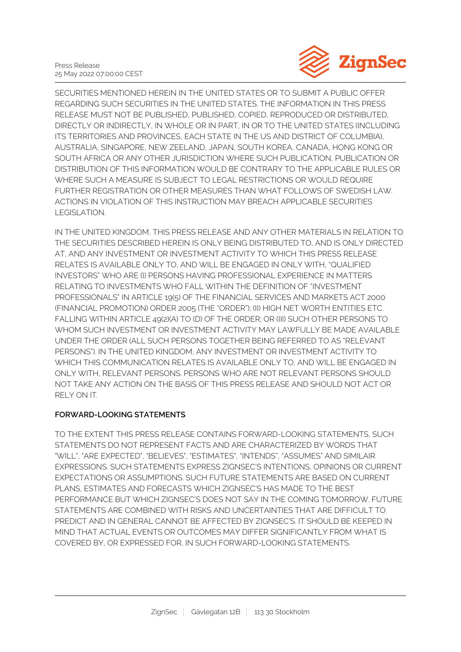

SECURITIES MENTIONED HEREIN IN THE UNITED STATES OR TO SUBMIT A PUBLIC OFFER REGARDING SUCH SECURITIES IN THE UNITED STATES. THE INFORMATION IN THIS PRESS RELEASE MUST NOT BE PUBLISHED, PUBLISHED, COPIED, REPRODUCED OR DISTRIBUTED, DIRECTLY OR INDIRECTLY, IN WHOLE OR IN PART, IN OR TO THE UNITED STATES (INCLUDING ITS TERRITORIES AND PROVINCES, EACH STATE IN THE US AND DISTRICT OF COLUMBIA), AUSTRALIA, SINGAPORE, NEW ZEELAND, JAPAN, SOUTH KOREA, CANADA, HONG KONG OR SOUTH AFRICA OR ANY OTHER JURISDICTION WHERE SUCH PUBLICATION, PUBLICATION OR DISTRIBUTION OF THIS INFORMATION WOULD BE CONTRARY TO THE APPLICABLE RULES OR WHERE SUCH A MEASURE IS SUBJECT TO LEGAL RESTRICTIONS OR WOULD REQUIRE FURTHER REGISTRATION OR OTHER MEASURES THAN WHAT FOLLOWS OF SWEDISH LAW. ACTIONS IN VIOLATION OF THIS INSTRUCTION MAY BREACH APPLICABLE SECURITIES LEGISLATION.

IN THE UNITED KINGDOM, THIS PRESS RELEASE AND ANY OTHER MATERIALS IN RELATION TO THE SECURITIES DESCRIBED HEREIN IS ONLY BEING DISTRIBUTED TO, AND IS ONLY DIRECTED AT, AND ANY INVESTMENT OR INVESTMENT ACTIVITY TO WHICH THIS PRESS RELEASE RELATES IS AVAILABLE ONLY TO, AND WILL BE ENGAGED IN ONLY WITH, "QUALIFIED INVESTORS" WHO ARE (I) PERSONS HAVING PROFESSIONAL EXPERIENCE IN MATTERS RELATING TO INVESTMENTS WHO FALL WITHIN THE DEFINITION OF "INVESTMENT PROFESSIONALS" IN ARTICLE 19(5) OF THE FINANCIAL SERVICES AND MARKETS ACT 2000 (FINANCIAL PROMOTION) ORDER 2005 (THE "ORDER"); (II) HIGH NET WORTH ENTITIES ETC. FALLING WITHIN ARTICLE 49(2)(A) TO (D) OF THE ORDER; OR (III) SUCH OTHER PERSONS TO WHOM SUCH INVESTMENT OR INVESTMENT ACTIVITY MAY LAWFULLY BE MADE AVAILABLE UNDER THE ORDER (ALL SUCH PERSONS TOGETHER BEING REFERRED TO AS "RELEVANT PERSONS"). IN THE UNITED KINGDOM, ANY INVESTMENT OR INVESTMENT ACTIVITY TO WHICH THIS COMMUNICATION RELATES IS AVAILABLE ONLY TO, AND WILL BE ENGAGED IN ONLY WITH, RELEVANT PERSONS. PERSONS WHO ARE NOT RELEVANT PERSONS SHOULD NOT TAKE ANY ACTION ON THE BASIS OF THIS PRESS RELEASE AND SHOULD NOT ACT OR RELY ON IT.

## **FORWARD-LOOKING STATEMENTS**

TO THE EXTENT THIS PRESS RELEASE CONTAINS FORWARD-LOOKING STATEMENTS, SUCH STATEMENTS DO NOT REPRESENT FACTS AND ARE CHARACTERIZED BY WORDS THAT "WILL", "ARE EXPECTED", "BELIEVES", "ESTIMATES", "INTENDS", "ASSUMES" AND SIMILAIR EXPRESSIONS. SUCH STATEMENTS EXPRESS ZIGNSEC'S INTENTIONS, OPINIONS OR CURRENT EXPECTATIONS OR ASSUMPTIONS. SUCH FUTURE STATEMENTS ARE BASED ON CURRENT PLANS, ESTIMATES AND FORECASTS WHICH ZIGNSEC'S HAS MADE TO THE BEST PERFORMANCE BUT WHICH ZIGNSEC'S DOES NOT SAY IN THE COMING TOMORROW. FUTURE STATEMENTS ARE COMBINED WITH RISKS AND UNCERTAINTIES THAT ARE DIFFICULT TO PREDICT AND IN GENERAL CANNOT BE AFFECTED BY ZIGNSEC'S. IT SHOULD BE KEEPED IN MIND THAT ACTUAL EVENTS OR OUTCOMES MAY DIFFER SIGNIFICANTLY FROM WHAT IS COVERED BY, OR EXPRESSED FOR, IN SUCH FORWARD-LOOKING STATEMENTS.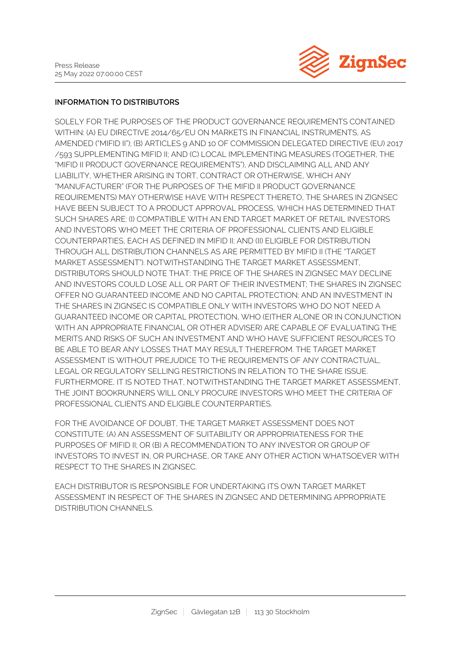

## **INFORMATION TO DISTRIBUTORS**

SOLELY FOR THE PURPOSES OF THE PRODUCT GOVERNANCE REQUIREMENTS CONTAINED WITHIN: (A) EU DIRECTIVE 2014/65/EU ON MARKETS IN FINANCIAL INSTRUMENTS, AS AMENDED ("MIFID II"); (B) ARTICLES 9 AND 10 OF COMMISSION DELEGATED DIRECTIVE (EU) 2017 /593 SUPPLEMENTING MIFID II; AND (C) LOCAL IMPLEMENTING MEASURES (TOGETHER, THE "MIFID II PRODUCT GOVERNANCE REQUIREMENTS"), AND DISCLAIMING ALL AND ANY LIABILITY, WHETHER ARISING IN TORT, CONTRACT OR OTHERWISE, WHICH ANY "MANUFACTURER" (FOR THE PURPOSES OF THE MIFID II PRODUCT GOVERNANCE REQUIREMENTS) MAY OTHERWISE HAVE WITH RESPECT THERETO, THE SHARES IN ZIGNSEC HAVE BEEN SUBJECT TO A PRODUCT APPROVAL PROCESS, WHICH HAS DETERMINED THAT SUCH SHARES ARE: (I) COMPATIBLE WITH AN END TARGET MARKET OF RETAIL INVESTORS AND INVESTORS WHO MEET THE CRITERIA OF PROFESSIONAL CLIENTS AND ELIGIBLE COUNTERPARTIES, EACH AS DEFINED IN MIFID II; AND (II) ELIGIBLE FOR DISTRIBUTION THROUGH ALL DISTRIBUTION CHANNELS AS ARE PERMITTED BY MIFID II (THE "TARGET MARKET ASSESSMENT"). NOTWITHSTANDING THE TARGET MARKET ASSESSMENT, DISTRIBUTORS SHOULD NOTE THAT: THE PRICE OF THE SHARES IN ZIGNSEC MAY DECLINE AND INVESTORS COULD LOSE ALL OR PART OF THEIR INVESTMENT; THE SHARES IN ZIGNSEC OFFER NO GUARANTEED INCOME AND NO CAPITAL PROTECTION; AND AN INVESTMENT IN THE SHARES IN ZIGNSEC IS COMPATIBLE ONLY WITH INVESTORS WHO DO NOT NEED A GUARANTEED INCOME OR CAPITAL PROTECTION, WHO (EITHER ALONE OR IN CONJUNCTION WITH AN APPROPRIATE FINANCIAL OR OTHER ADVISER) ARE CAPABLE OF EVALUATING THE MERITS AND RISKS OF SUCH AN INVESTMENT AND WHO HAVE SUFFICIENT RESOURCES TO BE ABLE TO BEAR ANY LOSSES THAT MAY RESULT THEREFROM. THE TARGET MARKET ASSESSMENT IS WITHOUT PREJUDICE TO THE REQUIREMENTS OF ANY CONTRACTUAL, LEGAL OR REGULATORY SELLING RESTRICTIONS IN RELATION TO THE SHARE ISSUE. FURTHERMORE, IT IS NOTED THAT, NOTWITHSTANDING THE TARGET MARKET ASSESSMENT, THE JOINT BOOKRUNNERS WILL ONLY PROCURE INVESTORS WHO MEET THE CRITERIA OF PROFESSIONAL CLIENTS AND ELIGIBLE COUNTERPARTIES.

FOR THE AVOIDANCE OF DOUBT, THE TARGET MARKET ASSESSMENT DOES NOT CONSTITUTE: (A) AN ASSESSMENT OF SUITABILITY OR APPROPRIATENESS FOR THE PURPOSES OF MIFID II; OR (B) A RECOMMENDATION TO ANY INVESTOR OR GROUP OF INVESTORS TO INVEST IN, OR PURCHASE, OR TAKE ANY OTHER ACTION WHATSOEVER WITH RESPECT TO THE SHARES IN ZIGNSEC.

EACH DISTRIBUTOR IS RESPONSIBLE FOR UNDERTAKING ITS OWN TARGET MARKET ASSESSMENT IN RESPECT OF THE SHARES IN ZIGNSEC AND DETERMINING APPROPRIATE DISTRIBUTION CHANNELS.